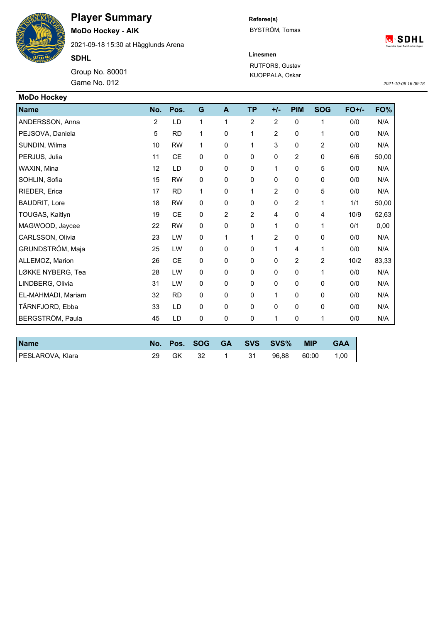**Player Summary**

**MoDo Hockey - AIK**

2021-09-18 15:30 at Hägglunds Arena

**SDHL**

Game No. 012 Group No. 80001 **Referee(s)** BYSTRÖM, Tomas

**C**<sup>S</sup>**SDHL** 

**Linesmen**

RUTFORS, Gustav KUOPPALA, Oskar

*2021-10-06 16:39:18*

| <b>MoDo Hockey</b>   |     |           |             |                |                |                |                |                |         |       |
|----------------------|-----|-----------|-------------|----------------|----------------|----------------|----------------|----------------|---------|-------|
| <b>Name</b>          | No. | Pos.      | G           | A              | <b>TP</b>      | $+/-$          | <b>PIM</b>     | <b>SOG</b>     | $FO+/-$ | FO%   |
| ANDERSSON, Anna      | 2   | LD        | 1           | 1              | $\overline{2}$ | $\overline{2}$ | 0              | 1              | 0/0     | N/A   |
| PEJSOVA, Daniela     | 5   | <b>RD</b> | 1           | 0              | 1              | 2              | 0              | 1              | 0/0     | N/A   |
| SUNDIN, Wilma        | 10  | <b>RW</b> | 1           | 0              | 1              | 3              | $\mathbf 0$    | $\overline{c}$ | 0/0     | N/A   |
| PERJUS, Julia        | 11  | <b>CE</b> | 0           | 0              | 0              | 0              | $\overline{c}$ | 0              | 6/6     | 50,00 |
| WAXIN, Mina          | 12  | LD        | $\pmb{0}$   | 0              | 0              | 1              | $\mathbf 0$    | 5              | 0/0     | N/A   |
| SOHLIN, Sofia        | 15  | <b>RW</b> | 0           | 0              | 0              | 0              | $\mathbf 0$    | 0              | 0/0     | N/A   |
| RIEDER, Erica        | 17  | <b>RD</b> | 1           | 0              | 1              | $\overline{2}$ | $\mathbf 0$    | 5              | 0/0     | N/A   |
| <b>BAUDRIT, Lore</b> | 18  | <b>RW</b> | 0           | 0              | 0              | 0              | 2              | 1              | 1/1     | 50,00 |
| TOUGAS, Kaitlyn      | 19  | <b>CE</b> | 0           | $\overline{c}$ | $\overline{c}$ | 4              | 0              | 4              | 10/9    | 52,63 |
| MAGWOOD, Jaycee      | 22  | <b>RW</b> | 0           | 0              | 0              | 1              | 0              | 1              | 0/1     | 0,00  |
| CARLSSON, Olivia     | 23  | LW        | $\mathbf 0$ | 1              | 1              | 2              | 0              | 0              | 0/0     | N/A   |
| GRUNDSTRÖM, Maja     | 25  | LW        | 0           | 0              | 0              | 1              | 4              | 1              | 0/0     | N/A   |
| ALLEMOZ, Marion      | 26  | <b>CE</b> | 0           | 0              | 0              | 0              | $\overline{2}$ | $\overline{2}$ | 10/2    | 83,33 |
| LØKKE NYBERG, Tea    | 28  | LW        | 0           | 0              | 0              | 0              | 0              | 1              | 0/0     | N/A   |
| LINDBERG, Olivia     | 31  | LW        | 0           | 0              | 0              | 0              | $\mathbf 0$    | 0              | 0/0     | N/A   |
| EL-MAHMADI, Mariam   | 32  | <b>RD</b> | 0           | 0              | 0              | 1              | 0              | 0              | 0/0     | N/A   |
| TÄRNFJORD, Ebba      | 33  | LD        | 0           | 0              | 0              | 0              | $\mathbf 0$    | 0              | 0/0     | N/A   |
| BERGSTRÖM, Paula     | 45  | LD        | 0           | 0              | 0              | 1              | 0              | 1              | 0/0     | N/A   |

| <b>Name</b>      |    | No. Pos. SOG |  | GA SVS SVS% | <b>MIP</b> | <b>GAA</b> |
|------------------|----|--------------|--|-------------|------------|------------|
| PESLAROVA, Klara | GK | 32           |  | 96.88       | 60:00      | 1,00       |